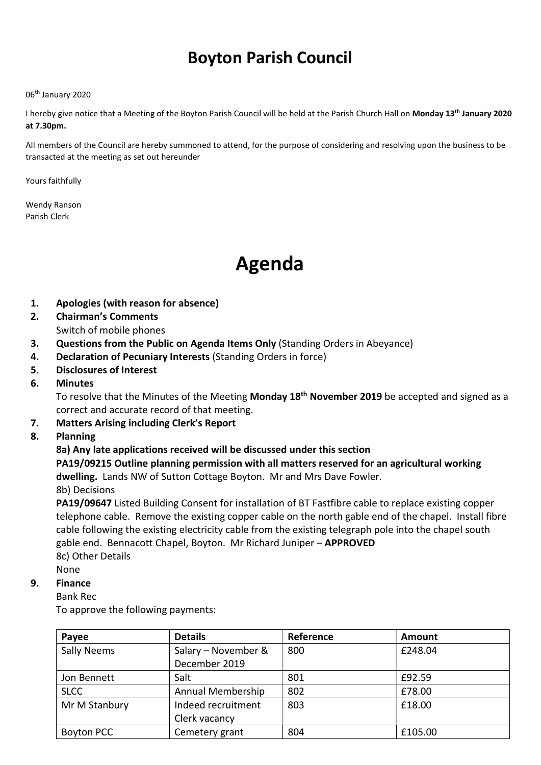# Boyton Parish Council

#### 06th January 2020

I hereby give notice that a Meeting of the Boyton Parish Council will be held at the Parish Church Hall on Monday 13<sup>th</sup> January 2020 at 7.30pm.

All members of the Council are hereby summoned to attend, for the purpose of considering and resolving upon the business to be transacted at the meeting as set out hereunder

Yours faithfully

Wendy Ranson Parish Clerk

# Agenda

- 1. Apologies (with reason for absence)
- 2. Chairman's Comments
	- Switch of mobile phones
- 3. Questions from the Public on Agenda Items Only (Standing Orders in Abeyance)
- 4. Declaration of Pecuniary Interests (Standing Orders in force)
- 5. Disclosures of Interest
- 6. Minutes

To resolve that the Minutes of the Meeting Monday 18<sup>th</sup> November 2019 be accepted and signed as a correct and accurate record of that meeting.

- 7. Matters Arising including Clerk's Report
- 8. Planning

#### 8a) Any late applications received will be discussed under this section

## PA19/09215 Outline planning permission with all matters reserved for an agricultural working dwelling. Lands NW of Sutton Cottage Boyton. Mr and Mrs Dave Fowler.

8b) Decisions

PA19/09647 Listed Building Consent for installation of BT Fastfibre cable to replace existing copper telephone cable. Remove the existing copper cable on the north gable end of the chapel. Install fibre cable following the existing electricity cable from the existing telegraph pole into the chapel south gable end. Bennacott Chapel, Boyton. Mr Richard Juniper – APPROVED 8c) Other Details

None

#### 9. Finance

Bank Rec

To approve the following payments:

| Payee              | <b>Details</b>      | Reference | Amount  |
|--------------------|---------------------|-----------|---------|
| <b>Sally Neems</b> | Salary - November & | 800       | £248.04 |
|                    | December 2019       |           |         |
| Jon Bennett        | Salt                | 801       | £92.59  |
| <b>SLCC</b>        | Annual Membership   | 802       | £78.00  |
| Mr M Stanbury      | Indeed recruitment  | 803       | £18.00  |
|                    | Clerk vacancy       |           |         |
| <b>Boyton PCC</b>  | Cemetery grant      | 804       | £105.00 |